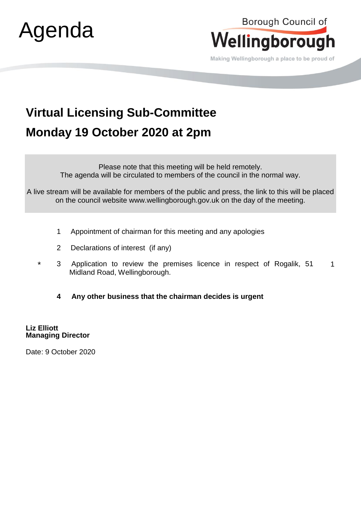



Making Wellingborough a place to be proud of

## **Virtual Licensing Sub-Committee Monday 19 October 2020 at 2pm**

Please note that this meeting will be held remotely. The agenda will be circulated to members of the council in the normal way.

A live stream will be available for members of the public and press, the link to this will be placed on the council website www.wellingborough.gov.uk on the day of the meeting.

- 1 Appointment of chairman for this meeting and any apologies
- 2 Declarations of interest (if any)
- \* 3 Application to review the premises licence in respect of Rogalik, 51 Midland Road, Wellingborough. 1
	- **4 Any other business that the chairman decides is urgent**

**Liz Elliott Managing Director** 

Date: 9 October 2020